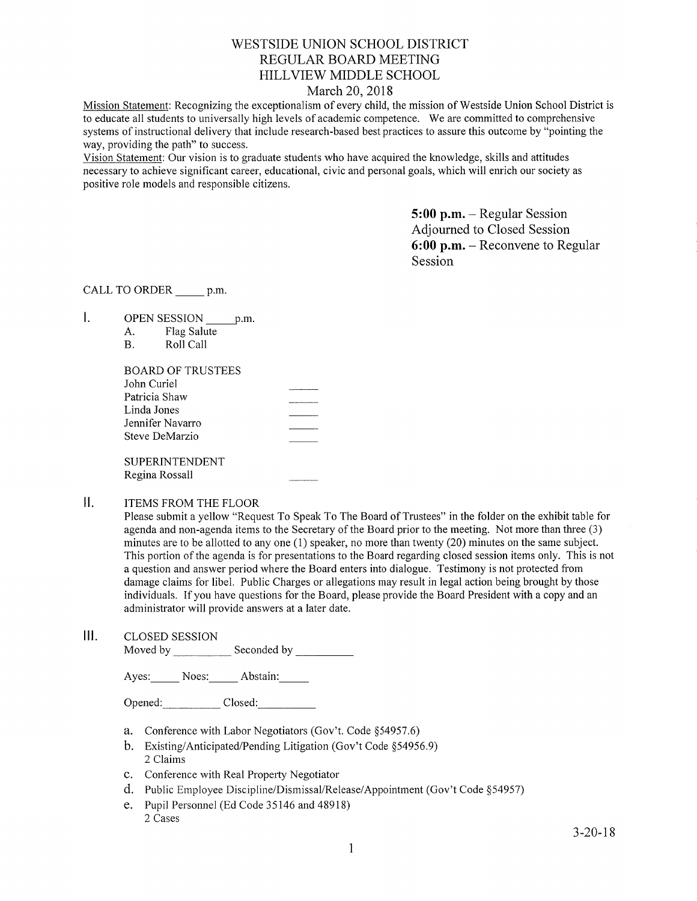# WESTSIDE UNION SCHOOL DISTRICT REGULAR BOARD MEETING HILLVIEW MIDDLE SCHOOL

## March 20,2018

Mission Statement: Recognizing the exceptionalism of every child, the mission of Westside Union School District is to educate all students to universally high levels of academic competence. We are committed to comprehensive systems of instructional delivery that include research-based best practices to assure this outcome by "pointing the way, providing the path" to success.

Vision Statement: Our vision is to graduate students who have acquired the knowledge, skills and attitudes necessary to achieve significant career, educational, civic and personal goals, which will enrich our society as positive role models and responsible citizens.

> 5:00 p.m. - Regular Session Adjourned to Closed Session 6:00 p.m. - Reconvene to Regular Session

CALL TO ORDER p.m.

 $\mathbf{L}$ OPEN SESSION p.m.

| А. | Flag Salute |
|----|-------------|
| В. | Roll Call   |

| <b>BOARD OF TRUSTEES</b> |  |
|--------------------------|--|
| John Curiel              |  |
| Patricia Shaw            |  |
| Linda Jones              |  |
| Jennifer Navarro         |  |
| Steve DeMarzio           |  |
|                          |  |
| <b>SUPERINTENDENT</b>    |  |
| Regina Rossall           |  |

#### $\mathbf{II}$ . ITEMS FROM THE FLOOR

Please submit a yellow "Request To Speak To The Board of Trustees" in the folder on the exhibit table for agenda and non-agenda items to the Secretary of the Board prior to the meeting. Not more than three (3) minutes are to be allotted to any one (1) speaker, no more than twenty (20) minutes on the same subject. This portion of the agenda is for presentations to the Board regarding closed session items only. This is not a question and answer period where the Board enters into dialogue. Testimony is not protected from damage claims for libel. Public Charges or allegations may result in legal action being brought by those individuals. If you have questions for the Board, please provide the Board President with a copy and an administrator will provide answers at a later date.

lll. cLosED sESSroN Moved by Seconded by Seconded by Seconded by Seconded by Seconded by Seconded by Seconded by Seconded by Seconded by Seconded by Seconded by Seconded by Seconded by Seconded by Seconded by Seconded by Seconded by Seconded

Ayes: Noes: Abstain:

Opened: Closed:

- a. Conference with Labor Negotiators (Gov't. Code \$54957.6)
- b. Existing/Anticipated/Pending Litigation (Gov't Code \$54956.9) 2 Claims
- c. Conference with Real Property Negotiator
- d. Public Employee Discipline/Dismissal/Release/Appointment (Gov't Code \$54957)
- e. Pupil Personnel (Ed Code 35146 and 48918) 2 Cases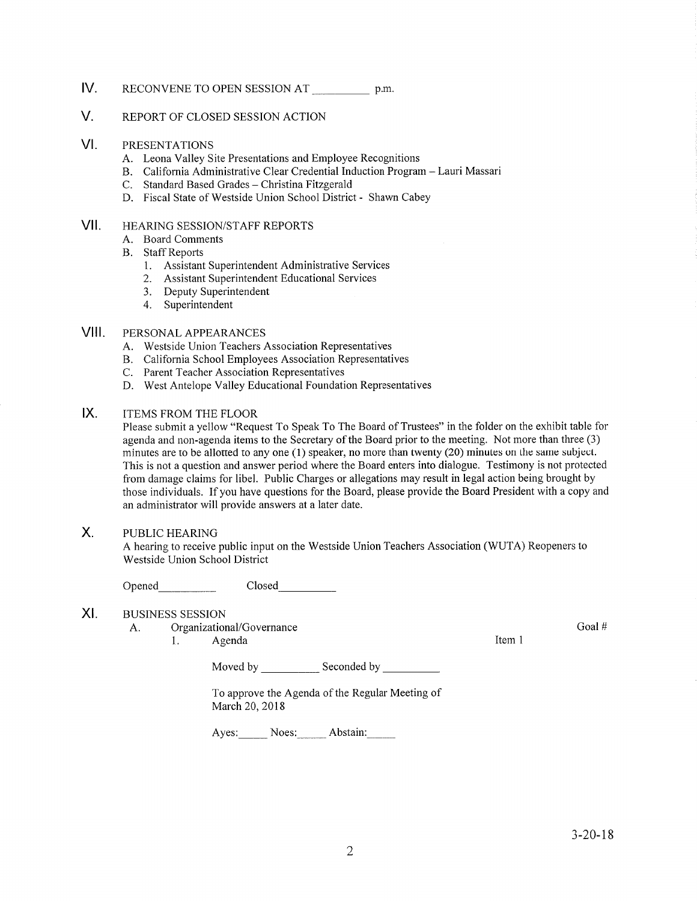### V. REPORT OF CLOSED SESSION ACTION

### VI PRESENTATIONS

- A. Leona Valley Site Presentations and Employee Recognitions
- B. California Administrative Clear Credential Induction Program Lauri Massari
- 
- C. Standard Based Grades Christina Fitzgerald D. Fiscal State of Westside Union School District Shawn Cabey

### HEAzuNG SESSION/STAFF REPORTS vil

- A. Board Comments
- B. Staff Reports
	- 1. Assistant Superintendent Administrative Services
	- 2. Assistant Superintendent Educational Services
	- 3. Deputy Superintendent
	- 4. Superintendent

### PERSONAL APPEARANCES VIII.

- A. Westside Union Teachers Association Representatives
- B. California School Employees Association Representatives C. Parent Teacher Association Representatives
- 
- D. West Antelope Valley Educational Foundation Representatives

### ITEMS FROM THE FLOOR IX

Please submit a yellow "Request To Speak To The Board of Trustees" in the folder on the exhibit table for agenda and non-agenda items to the Secretary of the Board prior to the meeting. Not more than three (3) minutes are to be allotted to any one (l) speaker, no more than twenty (20) minutes on the same subject. This is not a question and answer period where the Board enters into dialogue. Testimony is not protected from damage claims for libel. Public Charges or allegations may result in legal action being brought by those individuals. If you have questions for the Board, please provide the Board President with a copy and an administrator will provide answers at alater dafe.

### PUBLIC HEAzuNG  $X_{1}$

A hearing to receive public input on the Westside Union Teachers Association (WUTA) Reopeners to Westside Union School District

Opened Closed

#### XI BUSINESS SESSION

- A. Organizational/Governance
	- 1. Agenda **Item 1**

Moved by \_\_\_\_\_\_\_\_\_\_\_\_ Seconded by

To approve the Agenda of the Regular Meeting of March 20,2018

Ayes: Noes: Abstain:

Goal #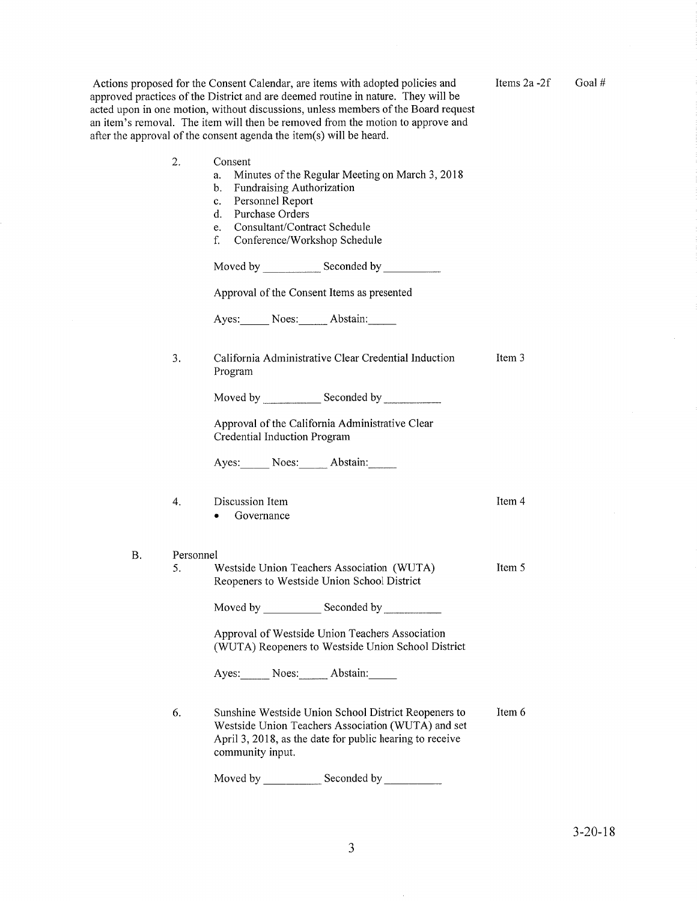|                        |    | Actions proposed for the Consent Calendar, are items with adopted policies and<br>approved practices of the District and are deemed routine in nature. They will be<br>acted upon in one motion, without discussions, unless members of the Board request<br>an item's removal. The item will then be removed from the motion to approve and<br>after the approval of the consent agenda the item(s) will be heard. | Items $2a - 2f$ |
|------------------------|----|---------------------------------------------------------------------------------------------------------------------------------------------------------------------------------------------------------------------------------------------------------------------------------------------------------------------------------------------------------------------------------------------------------------------|-----------------|
|                        | 2. | Consent<br>Minutes of the Regular Meeting on March 3, 2018<br>a.<br>Fundraising Authorization<br>b.<br>Personnel Report<br>$c_{-}$<br>Purchase Orders<br>d.<br>Consultant/Contract Schedule<br>e.<br>Conference/Workshop Schedule<br>f.                                                                                                                                                                             |                 |
|                        |    |                                                                                                                                                                                                                                                                                                                                                                                                                     |                 |
|                        |    | Approval of the Consent Items as presented                                                                                                                                                                                                                                                                                                                                                                          |                 |
|                        |    | Ayes: Noes: Abstain:                                                                                                                                                                                                                                                                                                                                                                                                |                 |
|                        | 3. | California Administrative Clear Credential Induction<br>Program                                                                                                                                                                                                                                                                                                                                                     | Item 3          |
|                        |    | Moved by Seconded by Seconded by                                                                                                                                                                                                                                                                                                                                                                                    |                 |
|                        |    | Approval of the California Administrative Clear<br>Credential Induction Program                                                                                                                                                                                                                                                                                                                                     |                 |
|                        |    | Ayes: Noes: Abstain:                                                                                                                                                                                                                                                                                                                                                                                                |                 |
|                        | 4. | Discussion Item<br>Governance                                                                                                                                                                                                                                                                                                                                                                                       | Item 4          |
| <b>B.</b><br>Personnel |    |                                                                                                                                                                                                                                                                                                                                                                                                                     |                 |
|                        | 5. | Westside Union Teachers Association (WUTA)<br>Reopeners to Westside Union School District                                                                                                                                                                                                                                                                                                                           | Item 5          |
|                        |    | Moved by _______________ Seconded by _________                                                                                                                                                                                                                                                                                                                                                                      |                 |
|                        |    | Approval of Westside Union Teachers Association<br>(WUTA) Reopeners to Westside Union School District                                                                                                                                                                                                                                                                                                               |                 |
|                        |    | Ayes: Noes: Abstain:                                                                                                                                                                                                                                                                                                                                                                                                |                 |
|                        | 6. | Sunshine Westside Union School District Reopeners to<br>Westside Union Teachers Association (WUTA) and set<br>April 3, 2018, as the date for public hearing to receive<br>community input.                                                                                                                                                                                                                          | Item 6          |

Seconded by  $\_$ Moved by Seconded by <u>Seconded by Seconded by Seconded by Seconded by Seconded by Seconded by Seconded by Seconded by Seconded by Seconded by Seconded by Seconded by Seconded by Seconded by Seconded by Seconded by Seconded</u>

Goal  $#$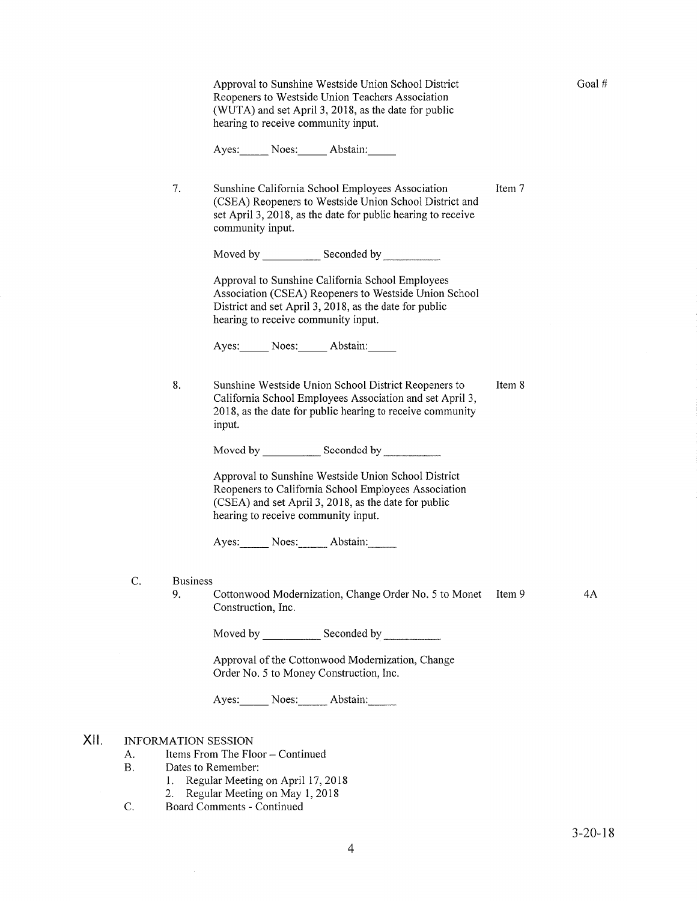Approval to Sunshine Westside Union School District Reopeners to Westside Union Teachers Association (WUTA) and set April 3, 2018, as the date for public hearing to receive community input.

Ayes: Noes: Abstain:

7. Sunshine California School Employees Association (CSEA) Reopeners to Westside Union School District and set April 3, 2018, as the date for public hearing to receive community input. \_ ItemT

Moved by \_\_\_\_\_\_\_\_\_\_\_\_\_\_\_ Seconded by

Approval to Sunshine California School Employees Association (CSEA) Reopeners to Westside Union School District and set April 3, 2018, as the date for public hearing to receive community input.

Ayes: Noes: Abstain:

8. Sunshine Westside Union School District Reopeners to California School Employees Association and set April 3, 2018, as the date for public hearing to receive community input. Item 8

Moved by Seconded by Seconded by Seconded by Seconded by Seconded by Seconded by Seconded by Seconded by Seconded by Seconded by Seconded by Seconded by Seconded by Seconded by Seconded by Seconded by Seconded by Seconded

Approval to Sunshine Westside Union School District Reopeners to Califomia School Employees Association (CSEA) and set April 3, 2018, as the date for public hearing to receive community input.

Ayes: Noes: Abstain:

- C. Business 9.
	- Cottonwood Modernization, Change Order No. 5 to Monet Item 9 Construction, Inc.

4A

Moved by Seconded by <u>Seconded by Seconded by Seconded by Seconded by Seconded by Seconded by Seconded by Seconded by Seconded by Seconded by Seconded by Seconded by Seconded by Seconded by Seconded by Seconded by Seconded</u>

Approval of the Cottonwood Modernization, Change Order No. 5 to Money Construction, Inc.

Ayes: Noes: Abstain:

#### INFORMATION SESSION xil

- A. Items From The Floor Continued<br>B. Dates to Remember:
- -
- 1. Regular Meeting on April <sup>17</sup>,<sup>2018</sup> 2. Regular Meeting on May 1,2018 C. Board Comments Continued
	-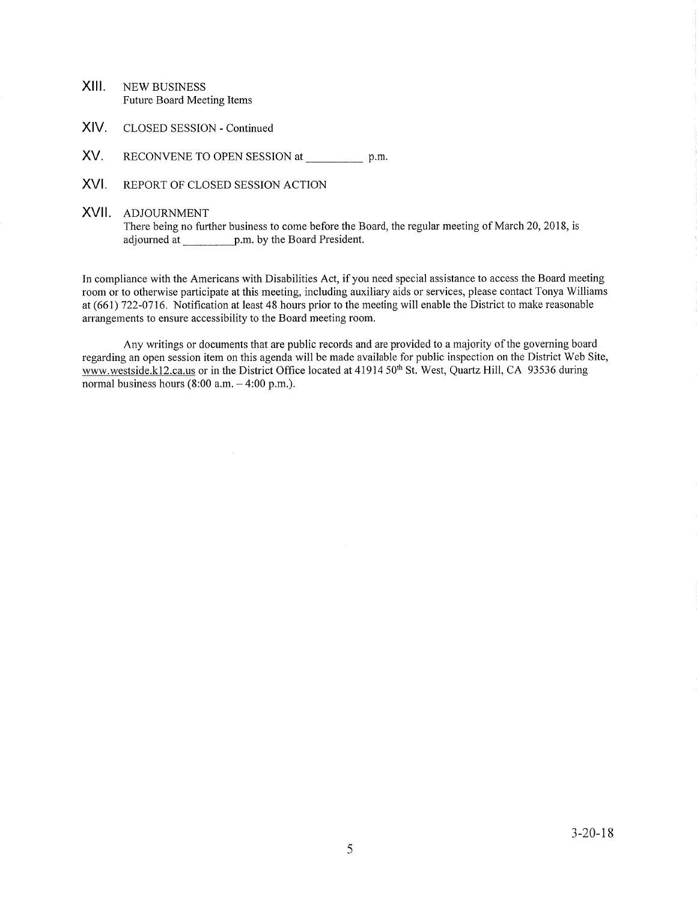- XIII. NEW BUSINESS Future Board Meeting Items
- XIV. CLOSED SESSION - Continued
- XV. RECONVENE TO OPEN SESSION at \_\_\_\_\_\_\_\_\_\_\_\_\_ p.m.
- XVI. REPORT OF CLOSED SESSION ACTION
- XVII ADJOURNMENT

There being no further business to come before the Board, the regular meeting of March 20, 2018, is adjourned ar. p.m. by the Board President.

In compliance with the Americans with Disabilities Act, if you need special assistance to access the Board meeting room or to otherwise participate at this meeting, including auxiliary aids or services, please contact Tonya Williams at (661) 122-0716. Notification at least 48 hours prior to the meeting will enable the District to make reasonable arrangements to ensure accessibility to the Board meeting room.

Any writings or documents that are public records and are provided to a majority of the governing board regarding an open session item on this agenda will be made available for public inspection on the District Web Site, www.westside.kl2.ca.us or in the District Office located at 41914 50<sup>th</sup> St. West, Quartz Hill, CA 93536 during normal business hours  $(8:00 a.m. - 4:00 p.m.).$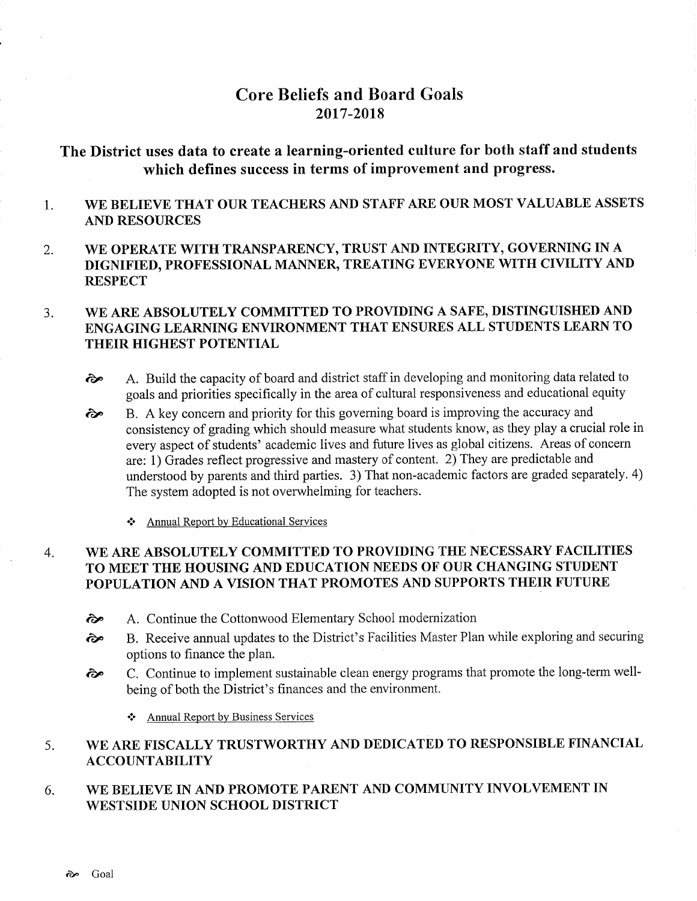# Core Beliefs and Board Goals 20t7-2018

# The District uses data to create a learning-oriented culture for both staff and students which defines success in terms of improvement and progress.

### 1 WE BELIEVE THAT OUR TEACHERS AND STAFF ARE OUR MOST VALUABLE ASSETS AND RESOURCES

2. WE OPERATE WITH TRANSPARENCY, TRUST AND INTEGRTTY, GOVERNING IN A DIGNIFIED, PROFESSIONAL MANNER, TREATING EVERYONE WITH CIVILITY AND **RESPECT** 

### WE ARE ABSOLUTELY COMMITTED TO PROVIDING A SAFE, DISTINGUISHED AND ENGAGING LEARNING ENVIRONMENT THAT ENSURES ALL STUDENTS LEARN TO THEIR HIGHEST POTENTIAL  $3.$

- $\odot$  A. Build the capacity of board and district staff in developing and monitoring data related to goals and priorities specifically in the area of cultural responsiveness and educational equity
- B. A key concem and priority for this goveming board is improving the accuracy and consistency of grading which should measure what students know, as they play a crucial role in every aspect of students' academic lives and future lives as global citizens. Areas of concern are: 1) Grades reflect progressive and mastery of content. 2) They are predictable and understood by parents and third parties. 3) That non-academic factors are graded separately. 4) The system adopted is not overwhelming for teachers. ôp
	- \* Annual Report bv Educational Services

## WE ARE ABSOLUTELY COMMITTED TO PROVIDING THE NECESSARY FACILITIES TO MEET THE HOUSING AND EDUCATION NEEDS OF OUR CHANGING STUDENT POPULATION AND A VISION THAT PROMOTES AND SUPPORTS THEIR FUTURE 4

- ôp A. Continue the Cottonwood Elementary School modernization
- èp B. Receive annual updates to the District's Facilities Master Plan while exploring and securing options to finance the plan.
- èp C. Continue to implement sustainable clean energy programs that promote the long-term wellbeing of both the District's finances and the environment.
	- \* Annual Report by Business Services

### WE ARE FISCALLY TRUSTWORTHY AND DEDICATED TO RESPONSIBLE FINANCIAL ACCOUNTABILITY 5

### WE BELIEVE IN AND PROMOTE PARENT AND COMMUNITY INVOLVEMENT IN WESTSIDE UNION SCHOOL DISTRICT 6.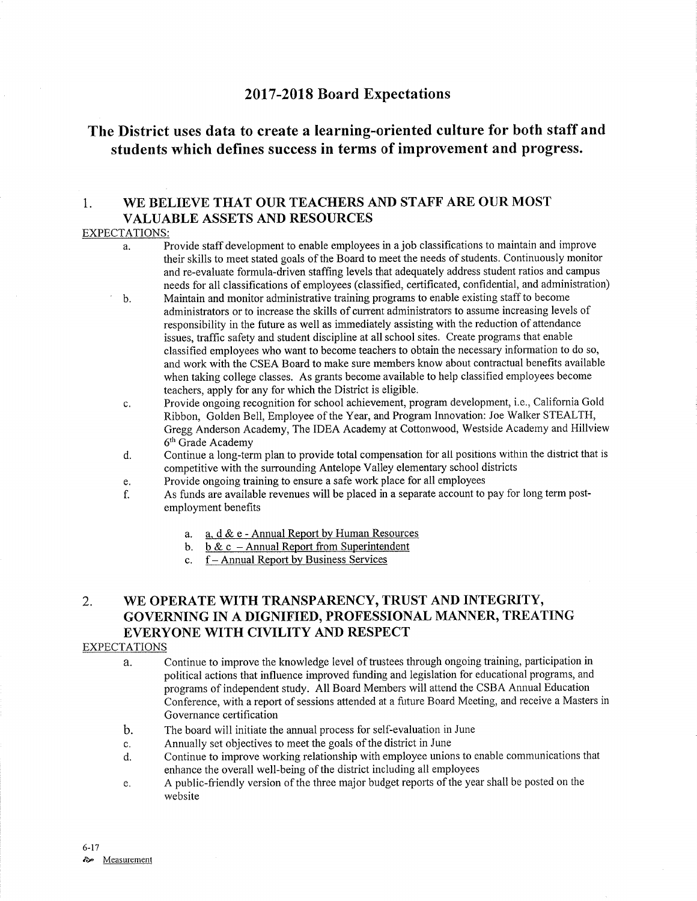# 2017-2018 Board Expectations

# The District uses data to create a learning-oriented culture for both staff and students which defïnes success in terms of improvement and progress.

## 1. WE BELIEVE THAT OUR TEACHERS AND STAFF ARE OUR MOST VALUABLE ASSETS AND RESOURCES

## EXPECTATIONS:

- a. Provide staff development to enable employees in a job classifìcations to maintain and improve their skills to meet stated goals of the Board to meet the needs of sfudents. Continuously monitor and re-evaluate formula-driven stafhng levels that adequately address student ratios and campus needs for all classifications of employees (classified, certificated, confidential, and administration)
- b. Maintain and monitor administrative training programs to enable existing staff to become administrators or to increase the skills of current administrators to assume increasing levels of responsibility in the future as well as immediately assisting with the reduction of attendance issues, traffic safety and student discipline at all school sites. Create programs that enable classified employees who want to become teachers to obtain the necessary information to do so, and work with the CSEA Board to make sure members know about contractual benefits available when taking college classes. As grants become available to help classified employees become teachers, apply for any for which the District is eligible.
- c. Provide ongoing recognition for school achievement, program development, i.e., California Gold Ribbon, Golden Bell, Employee of the Year, and Program Innovation: Joe Walker STEALTH, Gregg Anderson Academy, The IDEA Academy at Cottonwood, Westside Academy and Hillview 6'h Grade Academy
- d. Continue a long-term plan to provide total compensation for all positions within the district that is competitive with the surrounding Antelope Valley elementary school districts<br>Provide ongoing training to ensure a safe work place for all employees
- 
- e. Provide ongoing training to ensure a safe work place for all employees f. As funds are available revenues will be placed in a separate account to pay for long term postemployment benefits
	- a. a. d & e Annual Report by Human Resources
	- b.  $\underline{b} \& \underline{c}$  Annual Report from Superintendent
	- c. f Annual Report by Business Services

# 2. WE OPERATE WITH TRANSPARENCY, TRUST AND INTEGRITY, GOVERNING IN A DIGNIFIED, PROFESSIONAL MANNER, TREATING EVERYONE WITH CIVILITY AND RESPECT

## EXPECTATIONS

- a. Continue to improve the knowledge level of trustees through ongoing training, participation in political actions that influence improved funding and legislation for educational programs, and programs of independent study. All Board Members will attend the CSBA Annual Education Conference, with a report of sessions attended at a future Board Meeting, and receive a Masters in Governance certification
- b. The board will initiate the annual process for self-evaluation in June
- 
- c. Annually set objectives to meet the goals of the district in June<br>d. Continue to improve working relationship with employee unions to enable communications that enhance the overall well-being of the district including all employees
- e. A public-friendly version of the three major budget reports of the year shall be posted on the website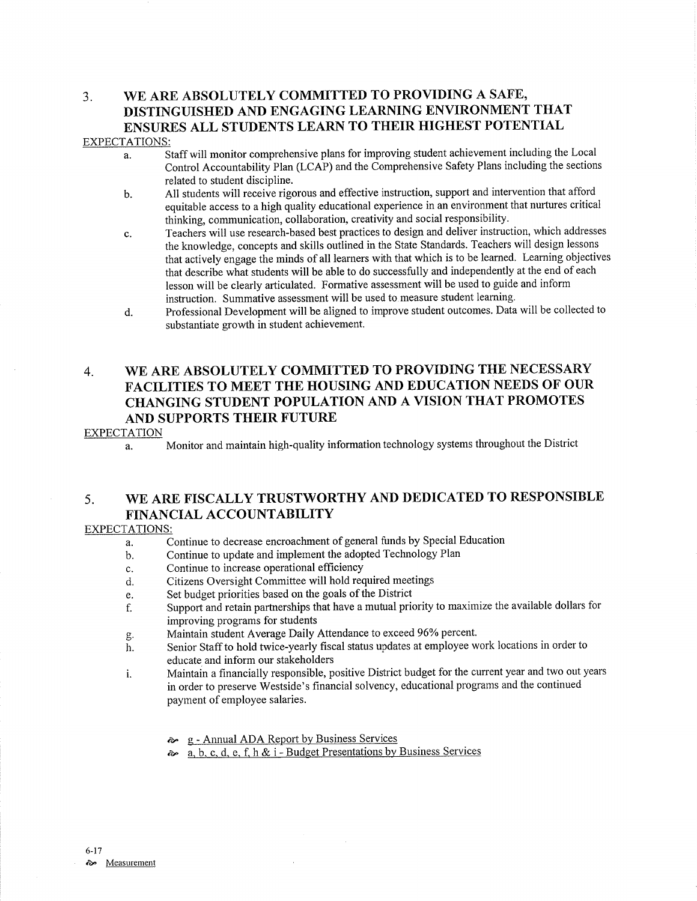# 3. WE ARE ABSOLUTELY COMMITTED TO PROVIDING A SAFE, DISTINGUISHED AND ENGAGING LEARNING ENVIRONMENT THAT ENSURES ALL STUDENTS LEARN TO THEIR HIGHEST POTENTIAL

## EXPECTATIONS:

- a. Staff will monitor comprehensive plans for improving student achievement including the Local Control Accountability Plan (LCAP) and the Comprehensive Safety Plans including the sections related to student discipline.
- b. All students will receive rigorous and effective instruction, support and intervention that afford equitable access to a high quality educational experience in an environment that nurtures critical thinking, communication, collaboration, creativity and social responsibility.
- c. Teachers will use research-based best practices to design and deliver instruction, which addresses the knowledge, concepts and skills outlined in the State Standards. Teachers will design lessons that actively engage the minds of all learners with that which is to be learned. Learning objectives that describe what students will be able to do successfully and independently at the end of each lesson will be clearly articulated. Formative assessment will be used to guide and inform instruction. Summative assessment will be used to measure student learning.
- d. Professional Development will be aligned to improve student outcomes. Data will be collected to substantiate growth in student achievement.

# 4. WE ARE ABSOLUTELY COMMITTED TO PROVIDING THE NECESSARY FACILITIES TO MEET THE HOUSING AND EDUCATION NEEDS OF OUR CHANGING STUDENT POPULATION AND A VISION THAT PROMOTES AND SUPPORTS THEIR FUTURE

## EXPECTATION

a. Monitor and maintain high-quality information technology systems throughout the District

# 5. WE ARE FISCALLY TRUSTWORTHY AND DEDICATED TO RESPONSIBLE FINANCIAL ACCOUNTABILITY

## EXPECTATIONS:

- Continue to decrease encroachment of general funds by Special Education a.
- Continue to update and implement the adopted Technology Plan b.
- Continue to increase operational efficiency c.
- Citizens Oversight Committee will hold required meetings d.
- Set budget priorities based on the goals of the District e.
- Supporl and retain partnerships that have a mutual priority to maximize the available dollars for improving programs for students f.
- Maintain student Average Daily Attendance to exceed 96% percent. g.
- Senior Staff to hold twice-yearly fiscal status updates at employee work locations in order to educate and inform our stakeholders h.
- Maintain a financially responsible, positive District budget for the current year and two out years in order to preserve Westside's financial solvency, educational programs and the continued payment of employee salaries. i.
	- **g** Annual ADA Report by Business Services
	- $\sim a, b, c, d, e, f, h \& i Budget \text{Presentations by Business Services}$